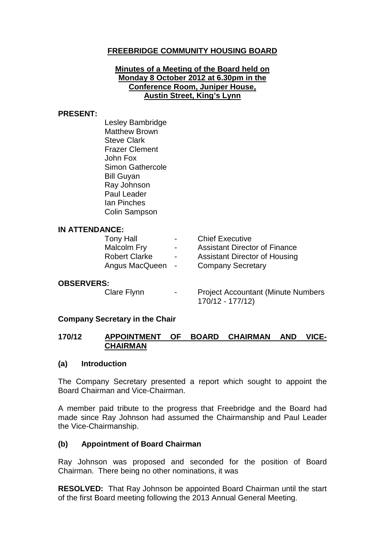# **FREEBRIDGE COMMUNITY HOUSING BOARD**

## **Minutes of a Meeting of the Board held on Monday 8 October 2012 at 6.30pm in the Conference Room, Juniper House, Austin Street, King's Lynn**

#### **PRESENT:**

Lesley Bambridge Matthew Brown Steve Clark Frazer Clement John Fox Simon Gathercole Bill Guyan Ray Johnson Paul Leader Ian Pinches Colin Sampson

### **IN ATTENDANCE:**

| Tony Hall            | $\sim$        | <b>Chief Executive</b>               |
|----------------------|---------------|--------------------------------------|
| <b>Malcolm Fry</b>   | $\sim$ $\sim$ | <b>Assistant Director of Finance</b> |
| <b>Robert Clarke</b> | $\sim$        | <b>Assistant Director of Housing</b> |
| Angus MacQueen       | $\sim$        | <b>Company Secretary</b>             |

## **OBSERVERS:**

Clare Flynn - Project Accountant (Minute Numbers 170/12 - 177/12)

## **Company Secretary in the Chair**

## **170/12 APPOINTMENT OF BOARD CHAIRMAN AND VICE-CHAIRMAN**

#### **(a) Introduction**

The Company Secretary presented a report which sought to appoint the Board Chairman and Vice-Chairman.

A member paid tribute to the progress that Freebridge and the Board had made since Ray Johnson had assumed the Chairmanship and Paul Leader the Vice-Chairmanship.

## **(b) Appointment of Board Chairman**

Ray Johnson was proposed and seconded for the position of Board Chairman. There being no other nominations, it was

**RESOLVED:** That Ray Johnson be appointed Board Chairman until the start of the first Board meeting following the 2013 Annual General Meeting.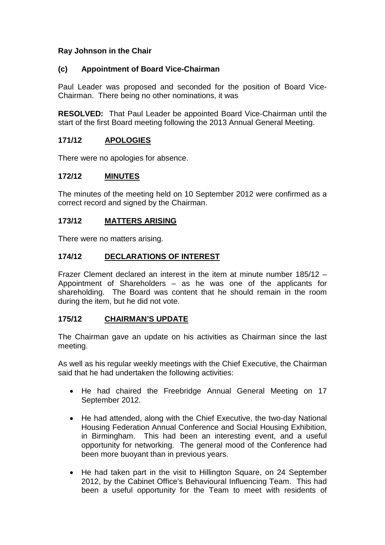## **Ray Johnson in the Chair**

## **(c) Appointment of Board Vice-Chairman**

Paul Leader was proposed and seconded for the position of Board Vice-Chairman. There being no other nominations, it was

**RESOLVED:** That Paul Leader be appointed Board Vice-Chairman until the start of the first Board meeting following the 2013 Annual General Meeting.

## **171/12 APOLOGIES**

There were no apologies for absence.

## **172/12 MINUTES**

The minutes of the meeting held on 10 September 2012 were confirmed as a correct record and signed by the Chairman.

## **173/12 MATTERS ARISING**

There were no matters arising.

## **174/12 DECLARATIONS OF INTEREST**

Frazer Clement declared an interest in the item at minute number 185/12 – Appointment of Shareholders – as he was one of the applicants for shareholding. The Board was content that he should remain in the room during the item, but he did not vote.

#### **175/12 CHAIRMAN'S UPDATE**

The Chairman gave an update on his activities as Chairman since the last meeting.

As well as his regular weekly meetings with the Chief Executive, the Chairman said that he had undertaken the following activities:

- He had chaired the Freebridge Annual General Meeting on 17 September 2012.
- He had attended, along with the Chief Executive, the two-day National Housing Federation Annual Conference and Social Housing Exhibition, in Birmingham. This had been an interesting event, and a useful opportunity for networking. The general mood of the Conference had been more buoyant than in previous years.
- He had taken part in the visit to Hillington Square, on 24 September 2012, by the Cabinet Office's Behavioural Influencing Team. This had been a useful opportunity for the Team to meet with residents of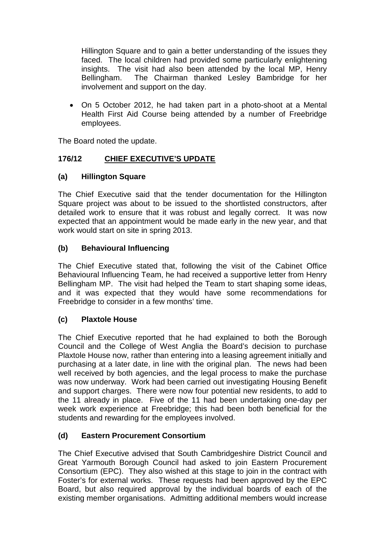Hillington Square and to gain a better understanding of the issues they faced. The local children had provided some particularly enlightening insights. The visit had also been attended by the local MP, Henry Bellingham. The Chairman thanked Lesley Bambridge for her involvement and support on the day.

• On 5 October 2012, he had taken part in a photo-shoot at a Mental Health First Aid Course being attended by a number of Freebridge employees.

The Board noted the update.

# **176/12 CHIEF EXECUTIVE'S UPDATE**

# **(a) Hillington Square**

The Chief Executive said that the tender documentation for the Hillington Square project was about to be issued to the shortlisted constructors, after detailed work to ensure that it was robust and legally correct. It was now expected that an appointment would be made early in the new year, and that work would start on site in spring 2013.

# **(b) Behavioural Influencing**

The Chief Executive stated that, following the visit of the Cabinet Office Behavioural Influencing Team, he had received a supportive letter from Henry Bellingham MP. The visit had helped the Team to start shaping some ideas, and it was expected that they would have some recommendations for Freebridge to consider in a few months' time.

# **(c) Plaxtole House**

The Chief Executive reported that he had explained to both the Borough Council and the College of West Anglia the Board's decision to purchase Plaxtole House now, rather than entering into a leasing agreement initially and purchasing at a later date, in line with the original plan. The news had been well received by both agencies, and the legal process to make the purchase was now underway. Work had been carried out investigating Housing Benefit and support charges. There were now four potential new residents, to add to the 11 already in place. Five of the 11 had been undertaking one-day per week work experience at Freebridge; this had been both beneficial for the students and rewarding for the employees involved.

# **(d) Eastern Procurement Consortium**

The Chief Executive advised that South Cambridgeshire District Council and Great Yarmouth Borough Council had asked to join Eastern Procurement Consortium (EPC). They also wished at this stage to join in the contract with Foster's for external works. These requests had been approved by the EPC Board, but also required approval by the individual boards of each of the existing member organisations. Admitting additional members would increase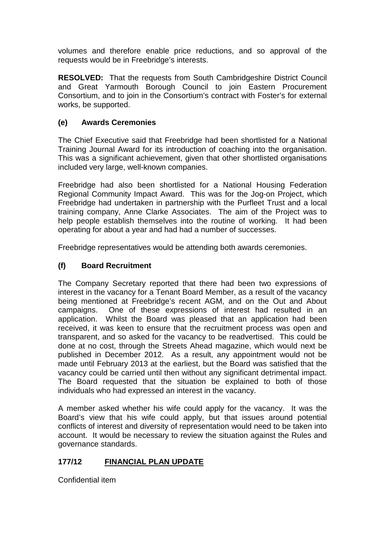volumes and therefore enable price reductions, and so approval of the requests would be in Freebridge's interests.

**RESOLVED:** That the requests from South Cambridgeshire District Council and Great Yarmouth Borough Council to join Eastern Procurement Consortium, and to join in the Consortium's contract with Foster's for external works, be supported.

# **(e) Awards Ceremonies**

The Chief Executive said that Freebridge had been shortlisted for a National Training Journal Award for its introduction of coaching into the organisation. This was a significant achievement, given that other shortlisted organisations included very large, well-known companies.

Freebridge had also been shortlisted for a National Housing Federation Regional Community Impact Award. This was for the Jog-on Project, which Freebridge had undertaken in partnership with the Purfleet Trust and a local training company, Anne Clarke Associates. The aim of the Project was to help people establish themselves into the routine of working. It had been operating for about a year and had had a number of successes.

Freebridge representatives would be attending both awards ceremonies.

# **(f) Board Recruitment**

The Company Secretary reported that there had been two expressions of interest in the vacancy for a Tenant Board Member, as a result of the vacancy being mentioned at Freebridge's recent AGM, and on the Out and About campaigns. One of these expressions of interest had resulted in an application. Whilst the Board was pleased that an application had been received, it was keen to ensure that the recruitment process was open and transparent, and so asked for the vacancy to be readvertised. This could be done at no cost, through the Streets Ahead magazine, which would next be published in December 2012. As a result, any appointment would not be made until February 2013 at the earliest, but the Board was satisfied that the vacancy could be carried until then without any significant detrimental impact. The Board requested that the situation be explained to both of those individuals who had expressed an interest in the vacancy.

A member asked whether his wife could apply for the vacancy. It was the Board's view that his wife could apply, but that issues around potential conflicts of interest and diversity of representation would need to be taken into account. It would be necessary to review the situation against the Rules and governance standards.

# **177/12 FINANCIAL PLAN UPDATE**

Confidential item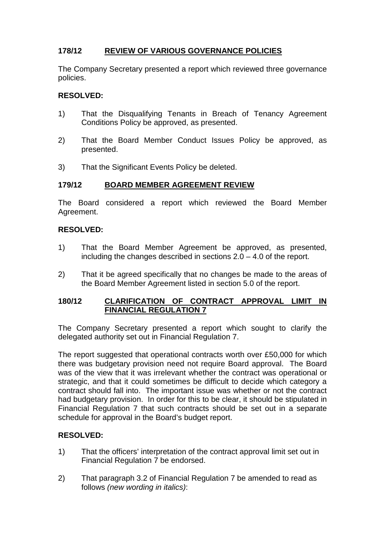# **178/12 REVIEW OF VARIOUS GOVERNANCE POLICIES**

The Company Secretary presented a report which reviewed three governance policies.

## **RESOLVED:**

- 1) That the Disqualifying Tenants in Breach of Tenancy Agreement Conditions Policy be approved, as presented.
- 2) That the Board Member Conduct Issues Policy be approved, as presented.
- 3) That the Significant Events Policy be deleted.

## **179/12 BOARD MEMBER AGREEMENT REVIEW**

The Board considered a report which reviewed the Board Member Agreement.

## **RESOLVED:**

- 1) That the Board Member Agreement be approved, as presented, including the changes described in sections 2.0 – 4.0 of the report.
- 2) That it be agreed specifically that no changes be made to the areas of the Board Member Agreement listed in section 5.0 of the report.

## **180/12 CLARIFICATION OF CONTRACT APPROVAL LIMIT IN FINANCIAL REGULATION 7**

The Company Secretary presented a report which sought to clarify the delegated authority set out in Financial Regulation 7.

The report suggested that operational contracts worth over £50,000 for which there was budgetary provision need not require Board approval. The Board was of the view that it was irrelevant whether the contract was operational or strategic, and that it could sometimes be difficult to decide which category a contract should fall into. The important issue was whether or not the contract had budgetary provision. In order for this to be clear, it should be stipulated in Financial Regulation 7 that such contracts should be set out in a separate schedule for approval in the Board's budget report.

## **RESOLVED:**

- 1) That the officers' interpretation of the contract approval limit set out in Financial Regulation 7 be endorsed.
- 2) That paragraph 3.2 of Financial Regulation 7 be amended to read as follows *(new wording in italics)*: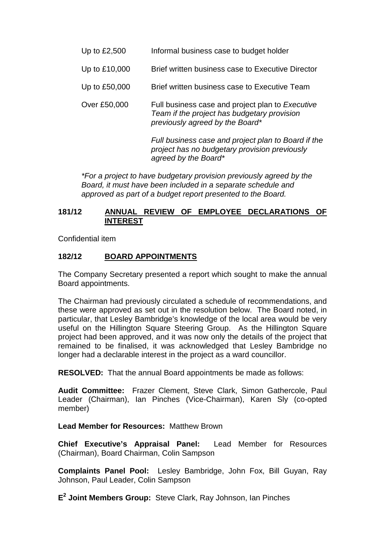| Up to £2,500 | Informal business case to budget holder |
|--------------|-----------------------------------------|
|--------------|-----------------------------------------|

- Up to £10,000 Brief written business case to Executive Director
- Up to £50,000 Brief written business case to Executive Team
- Over £50,000 Full business case and project plan to *Executive Team if the project has budgetary provision previously agreed by the Board\**

*Full business case and project plan to Board if the project has no budgetary provision previously agreed by the Board\**

*\*For a project to have budgetary provision previously agreed by the Board, it must have been included in a separate schedule and approved as part of a budget report presented to the Board.*

## **181/12 ANNUAL REVIEW OF EMPLOYEE DECLARATIONS OF INTEREST**

Confidential item

## **182/12 BOARD APPOINTMENTS**

The Company Secretary presented a report which sought to make the annual Board appointments.

The Chairman had previously circulated a schedule of recommendations, and these were approved as set out in the resolution below. The Board noted, in particular, that Lesley Bambridge's knowledge of the local area would be very useful on the Hillington Square Steering Group. As the Hillington Square project had been approved, and it was now only the details of the project that remained to be finalised, it was acknowledged that Lesley Bambridge no longer had a declarable interest in the project as a ward councillor.

**RESOLVED:** That the annual Board appointments be made as follows:

**Audit Committee:** Frazer Clement, Steve Clark, Simon Gathercole, Paul Leader (Chairman), Ian Pinches (Vice-Chairman), Karen Sly (co-opted member)

#### **Lead Member for Resources:** Matthew Brown

**Chief Executive's Appraisal Panel:** Lead Member for Resources (Chairman), Board Chairman, Colin Sampson

**Complaints Panel Pool:** Lesley Bambridge, John Fox, Bill Guyan, Ray Johnson, Paul Leader, Colin Sampson

**E<sup>2</sup> Joint Members Group:** Steve Clark, Ray Johnson, Ian Pinches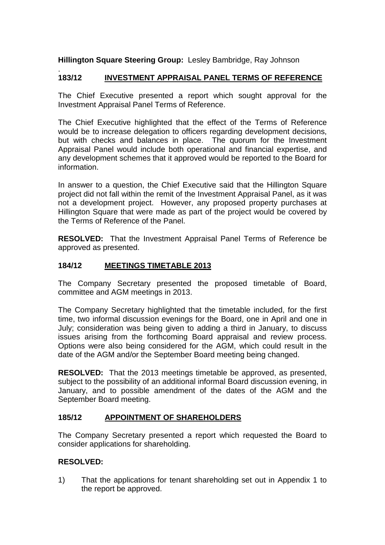# **Hillington Square Steering Group:** Lesley Bambridge, Ray Johnson

#### . **183/12 INVESTMENT APPRAISAL PANEL TERMS OF REFERENCE**

The Chief Executive presented a report which sought approval for the Investment Appraisal Panel Terms of Reference.

The Chief Executive highlighted that the effect of the Terms of Reference would be to increase delegation to officers regarding development decisions, but with checks and balances in place. The quorum for the Investment Appraisal Panel would include both operational and financial expertise, and any development schemes that it approved would be reported to the Board for information.

In answer to a question, the Chief Executive said that the Hillington Square project did not fall within the remit of the Investment Appraisal Panel, as it was not a development project. However, any proposed property purchases at Hillington Square that were made as part of the project would be covered by the Terms of Reference of the Panel.

**RESOLVED:** That the Investment Appraisal Panel Terms of Reference be approved as presented.

## **184/12 MEETINGS TIMETABLE 2013**

The Company Secretary presented the proposed timetable of Board, committee and AGM meetings in 2013.

The Company Secretary highlighted that the timetable included, for the first time, two informal discussion evenings for the Board, one in April and one in July; consideration was being given to adding a third in January, to discuss issues arising from the forthcoming Board appraisal and review process. Options were also being considered for the AGM, which could result in the date of the AGM and/or the September Board meeting being changed.

**RESOLVED:** That the 2013 meetings timetable be approved, as presented, subject to the possibility of an additional informal Board discussion evening, in January, and to possible amendment of the dates of the AGM and the September Board meeting.

## **185/12 APPOINTMENT OF SHAREHOLDERS**

The Company Secretary presented a report which requested the Board to consider applications for shareholding.

## **RESOLVED:**

1) That the applications for tenant shareholding set out in Appendix 1 to the report be approved.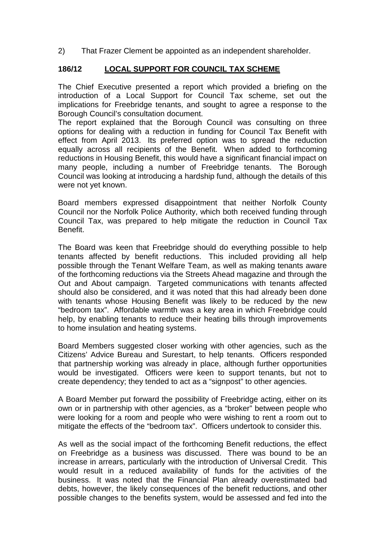2) That Frazer Clement be appointed as an independent shareholder.

### **186/12 LOCAL SUPPORT FOR COUNCIL TAX SCHEME**

The Chief Executive presented a report which provided a briefing on the introduction of a Local Support for Council Tax scheme, set out the implications for Freebridge tenants, and sought to agree a response to the Borough Council's consultation document.

The report explained that the Borough Council was consulting on three options for dealing with a reduction in funding for Council Tax Benefit with effect from April 2013. Its preferred option was to spread the reduction equally across all recipients of the Benefit. When added to forthcoming reductions in Housing Benefit, this would have a significant financial impact on many people, including a number of Freebridge tenants. The Borough Council was looking at introducing a hardship fund, although the details of this were not yet known.

Board members expressed disappointment that neither Norfolk County Council nor the Norfolk Police Authority, which both received funding through Council Tax, was prepared to help mitigate the reduction in Council Tax Benefit.

The Board was keen that Freebridge should do everything possible to help tenants affected by benefit reductions. This included providing all help possible through the Tenant Welfare Team, as well as making tenants aware of the forthcoming reductions via the Streets Ahead magazine and through the Out and About campaign. Targeted communications with tenants affected should also be considered, and it was noted that this had already been done with tenants whose Housing Benefit was likely to be reduced by the new "bedroom tax". Affordable warmth was a key area in which Freebridge could help, by enabling tenants to reduce their heating bills through improvements to home insulation and heating systems.

Board Members suggested closer working with other agencies, such as the Citizens' Advice Bureau and Surestart, to help tenants. Officers responded that partnership working was already in place, although further opportunities would be investigated. Officers were keen to support tenants, but not to create dependency; they tended to act as a "signpost" to other agencies.

A Board Member put forward the possibility of Freebridge acting, either on its own or in partnership with other agencies, as a "broker" between people who were looking for a room and people who were wishing to rent a room out to mitigate the effects of the "bedroom tax". Officers undertook to consider this.

As well as the social impact of the forthcoming Benefit reductions, the effect on Freebridge as a business was discussed. There was bound to be an increase in arrears, particularly with the introduction of Universal Credit. This would result in a reduced availability of funds for the activities of the business. It was noted that the Financial Plan already overestimated bad debts, however, the likely consequences of the benefit reductions, and other possible changes to the benefits system, would be assessed and fed into the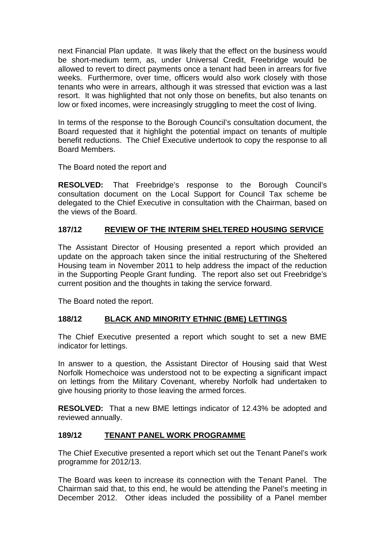next Financial Plan update. It was likely that the effect on the business would be short-medium term, as, under Universal Credit, Freebridge would be allowed to revert to direct payments once a tenant had been in arrears for five weeks. Furthermore, over time, officers would also work closely with those tenants who were in arrears, although it was stressed that eviction was a last resort. It was highlighted that not only those on benefits, but also tenants on low or fixed incomes, were increasingly struggling to meet the cost of living.

In terms of the response to the Borough Council's consultation document, the Board requested that it highlight the potential impact on tenants of multiple benefit reductions. The Chief Executive undertook to copy the response to all Board Members.

The Board noted the report and

**RESOLVED:** That Freebridge's response to the Borough Council's consultation document on the Local Support for Council Tax scheme be delegated to the Chief Executive in consultation with the Chairman, based on the views of the Board.

# **187/12 REVIEW OF THE INTERIM SHELTERED HOUSING SERVICE**

The Assistant Director of Housing presented a report which provided an update on the approach taken since the initial restructuring of the Sheltered Housing team in November 2011 to help address the impact of the reduction in the Supporting People Grant funding. The report also set out Freebridge's current position and the thoughts in taking the service forward.

The Board noted the report.

# **188/12 BLACK AND MINORITY ETHNIC (BME) LETTINGS**

The Chief Executive presented a report which sought to set a new BME indicator for lettings.

In answer to a question, the Assistant Director of Housing said that West Norfolk Homechoice was understood not to be expecting a significant impact on lettings from the Military Covenant, whereby Norfolk had undertaken to aive housing priority to those leaving the armed forces.

**RESOLVED:** That a new BME lettings indicator of 12.43% be adopted and reviewed annually.

# **189/12 TENANT PANEL WORK PROGRAMME**

The Chief Executive presented a report which set out the Tenant Panel's work programme for 2012/13.

The Board was keen to increase its connection with the Tenant Panel. The Chairman said that, to this end, he would be attending the Panel's meeting in December 2012. Other ideas included the possibility of a Panel member